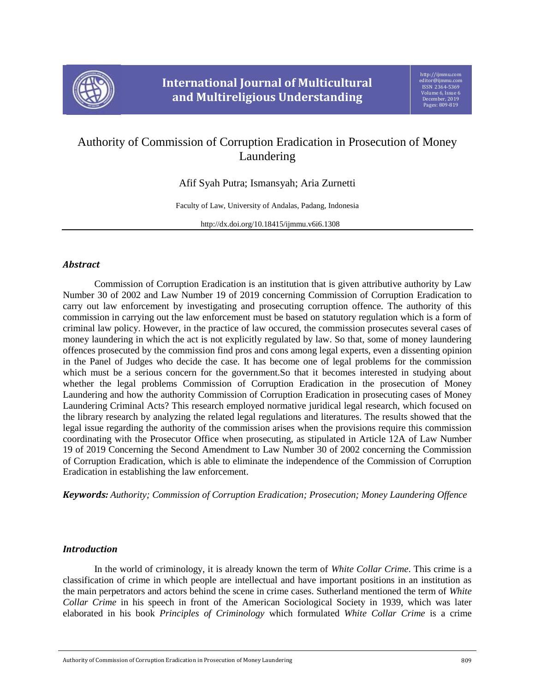

# Authority of Commission of Corruption Eradication in Prosecution of Money Laundering

Afif Syah Putra; Ismansyah; Aria Zurnetti

Faculty of Law, University of Andalas, Padang, Indonesia

http://dx.doi.org/10.18415/ijmmu.v6i6.1308

## *Abstract*

Commission of Corruption Eradication is an institution that is given attributive authority by Law Number 30 of 2002 and Law Number 19 of 2019 concerning Commission of Corruption Eradication to carry out law enforcement by investigating and prosecuting corruption offence. The authority of this commission in carrying out the law enforcement must be based on statutory regulation which is a form of criminal law policy. However, in the practice of law occured, the commission prosecutes several cases of money laundering in which the act is not explicitly regulated by law. So that, some of money laundering offences prosecuted by the commission find pros and cons among legal experts, even a dissenting opinion in the Panel of Judges who decide the case. It has become one of legal problems for the commission which must be a serious concern for the government.So that it becomes interested in studying about whether the legal problems Commission of Corruption Eradication in the prosecution of Money Laundering and how the authority Commission of Corruption Eradication in prosecuting cases of Money Laundering Criminal Acts? This research employed normative juridical legal research, which focused on the library research by analyzing the related legal regulations and literatures. The results showed that the legal issue regarding the authority of the commission arises when the provisions require this commission coordinating with the Prosecutor Office when prosecuting, as stipulated in Article 12A of Law Number 19 of 2019 Concerning the Second Amendment to Law Number 30 of 2002 concerning the Commission of Corruption Eradication, which is able to eliminate the independence of the Commission of Corruption Eradication in establishing the law enforcement.

*Keywords: Authority; Commission of Corruption Eradication; Prosecution; Money Laundering Offence*

## *Introduction*

In the world of criminology, it is already known the term of *White Collar Crime*. This crime is a classification of crime in which people are intellectual and have important positions in an institution as the main perpetrators and actors behind the scene in crime cases. Sutherland mentioned the term of *White Collar Crime* in his speech in front of the American Sociological Society in 1939, which was later elaborated in his book *Principles of Criminology* which formulated *White Collar Crime* is a crime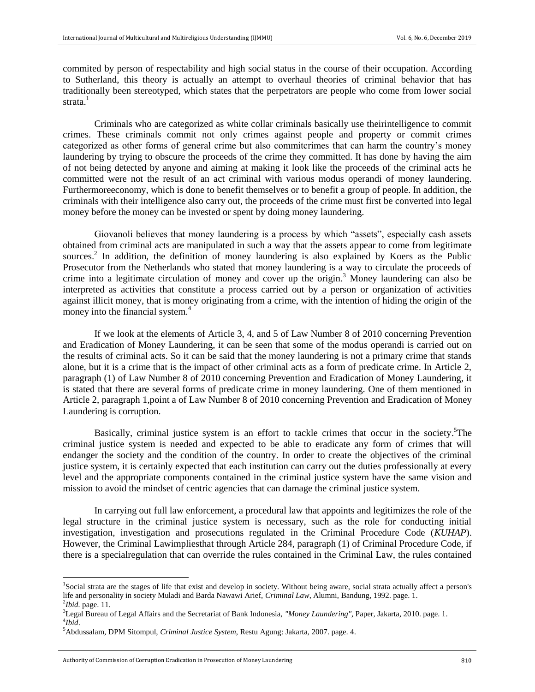commited by person of respectability and high social status in the course of their occupation. According to Sutherland, this theory is actually an attempt to overhaul theories of criminal behavior that has traditionally been stereotyped, which states that the perpetrators are people who come from lower social strata.<sup>1</sup>

Criminals who are categorized as white collar criminals basically use theirintelligence to commit crimes. These criminals commit not only crimes against people and property or commit crimes categorized as other forms of general crime but also commitcrimes that can harm the country's money laundering by trying to obscure the proceeds of the crime they committed. It has done by having the aim of not being detected by anyone and aiming at making it look like the proceeds of the criminal acts he committed were not the result of an act criminal with various modus operandi of money laundering. Furthermoreeconomy, which is done to benefit themselves or to benefit a group of people. In addition, the criminals with their intelligence also carry out, the proceeds of the crime must first be converted into legal money before the money can be invested or spent by doing money laundering.

Giovanoli believes that money laundering is a process by which "assets", especially cash assets obtained from criminal acts are manipulated in such a way that the assets appear to come from legitimate sources.<sup>2</sup> In addition, the definition of money laundering is also explained by Koers as the Public Prosecutor from the Netherlands who stated that money laundering is a way to circulate the proceeds of crime into a legitimate circulation of money and cover up the origin. <sup>3</sup> Money laundering can also be interpreted as activities that constitute a process carried out by a person or organization of activities against illicit money, that is money originating from a crime, with the intention of hiding the origin of the money into the financial system.<sup>4</sup>

If we look at the elements of Article 3, 4, and 5 of Law Number 8 of 2010 concerning Prevention and Eradication of Money Laundering, it can be seen that some of the modus operandi is carried out on the results of criminal acts. So it can be said that the money laundering is not a primary crime that stands alone, but it is a crime that is the impact of other criminal acts as a form of predicate crime. In Article 2, paragraph (1) of Law Number 8 of 2010 concerning Prevention and Eradication of Money Laundering, it is stated that there are several forms of predicate crime in money laundering. One of them mentioned in Article 2, paragraph 1,point a of Law Number 8 of 2010 concerning Prevention and Eradication of Money Laundering is corruption.

Basically, criminal justice system is an effort to tackle crimes that occur in the society. The criminal justice system is needed and expected to be able to eradicate any form of crimes that will endanger the society and the condition of the country. In order to create the objectives of the criminal justice system, it is certainly expected that each institution can carry out the duties professionally at every level and the appropriate components contained in the criminal justice system have the same vision and mission to avoid the mindset of centric agencies that can damage the criminal justice system.

In carrying out full law enforcement, a procedural law that appoints and legitimizes the role of the legal structure in the criminal justice system is necessary, such as the role for conducting initial investigation, investigation and prosecutions regulated in the Criminal Procedure Code (*KUHAP*). However, the Criminal Lawimpliesthat through Article 284, paragraph (1) of Criminal Procedure Code, if there is a specialregulation that can override the rules contained in the Criminal Law, the rules contained

 $\overline{\phantom{a}}$ 

<sup>&</sup>lt;sup>1</sup>Social strata are the stages of life that exist and develop in society. Without being aware, social strata actually affect a person's life and personality in society Muladi and Barda Nawawi Arief, *Criminal Law*, Alumni, Bandung, 1992. page. 1. 2 *Ibid.* page. 11.

<sup>3</sup>Legal Bureau of Legal Affairs and the Secretariat of Bank Indonesia, *"Money Laundering",* Paper, Jakarta, 2010. page. 1. 4 *Ibid*.

<sup>5</sup>Abdussalam, DPM Sitompul, *Criminal Justice System*, Restu Agung: Jakarta, 2007. page. 4.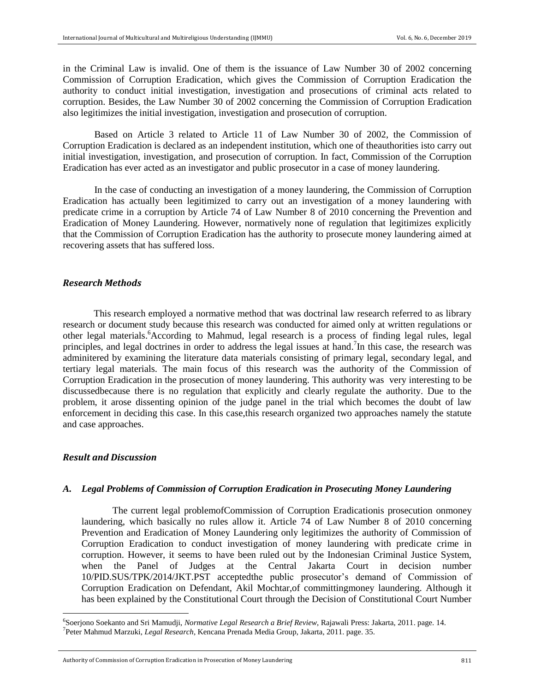in the Criminal Law is invalid. One of them is the issuance of Law Number 30 of 2002 concerning Commission of Corruption Eradication, which gives the Commission of Corruption Eradication the authority to conduct initial investigation, investigation and prosecutions of criminal acts related to corruption. Besides, the Law Number 30 of 2002 concerning the Commission of Corruption Eradication also legitimizes the initial investigation, investigation and prosecution of corruption.

Based on Article 3 related to Article 11 of Law Number 30 of 2002, the Commission of Corruption Eradication is declared as an independent institution, which one of theauthorities isto carry out initial investigation, investigation, and prosecution of corruption. In fact, Commission of the Corruption Eradication has ever acted as an investigator and public prosecutor in a case of money laundering.

In the case of conducting an investigation of a money laundering, the Commission of Corruption Eradication has actually been legitimized to carry out an investigation of a money laundering with predicate crime in a corruption by Article 74 of Law Number 8 of 2010 concerning the Prevention and Eradication of Money Laundering. However, normatively none of regulation that legitimizes explicitly that the Commission of Corruption Eradication has the authority to prosecute money laundering aimed at recovering assets that has suffered loss.

#### *Research Methods*

This research employed a normative method that was doctrinal law research referred to as library research or document study because this research was conducted for aimed only at written regulations or other legal materials. <sup>6</sup>According to Mahmud, legal research is a process of finding legal rules, legal principles, and legal doctrines in order to address the legal issues at hand.<sup>7</sup>In this case, the research was adminitered by examining the literature data materials consisting of primary legal, secondary legal, and tertiary legal materials. The main focus of this research was the authority of the Commission of Corruption Eradication in the prosecution of money laundering. This authority was very interesting to be discussedbecause there is no regulation that explicitly and clearly regulate the authority. Due to the problem, it arose dissenting opinion of the judge panel in the trial which becomes the doubt of law enforcement in deciding this case. In this case,this research organized two approaches namely the statute and case approaches.

## *Result and Discussion*

 $\overline{a}$ 

#### *A. Legal Problems of Commission of Corruption Eradication in Prosecuting Money Laundering*

The current legal problemofCommission of Corruption Eradicationis prosecution onmoney laundering, which basically no rules allow it. Article 74 of Law Number 8 of 2010 concerning Prevention and Eradication of Money Laundering only legitimizes the authority of Commission of Corruption Eradication to conduct investigation of money laundering with predicate crime in corruption. However, it seems to have been ruled out by the Indonesian Criminal Justice System, when the Panel of Judges at the Central Jakarta Court in decision number 10/PID.SUS/TPK/2014/JKT.PST acceptedthe public prosecutor's demand of Commission of Corruption Eradication on Defendant, Akil Mochtar,of committingmoney laundering. Although it has been explained by the Constitutional Court through the Decision of Constitutional Court Number

<sup>6</sup> Soerjono Soekanto and Sri Mamudji, *Normative Legal Research a Brief Review*, Rajawali Press: Jakarta, 2011. page. 14. 7 Peter Mahmud Marzuki, *Legal Research*, Kencana Prenada Media Group, Jakarta, 2011. page. 35.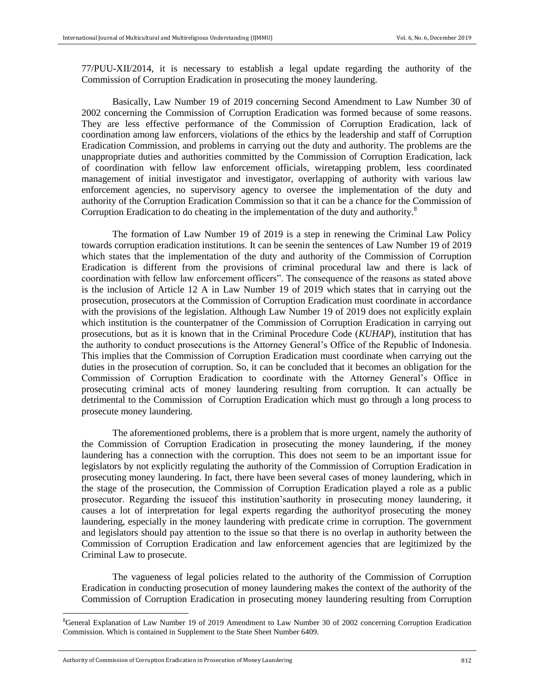77/PUU-XII/2014, it is necessary to establish a legal update regarding the authority of the Commission of Corruption Eradication in prosecuting the money laundering.

Basically, Law Number 19 of 2019 concerning Second Amendment to Law Number 30 of 2002 concerning the Commission of Corruption Eradication was formed because of some reasons. They are less effective performance of the Commission of Corruption Eradication, lack of coordination among law enforcers, violations of the ethics by the leadership and staff of Corruption Eradication Commission, and problems in carrying out the duty and authority. The problems are the unappropriate duties and authorities committed by the Commission of Corruption Eradication, lack of coordination with fellow law enforcement officials, wiretapping problem, less coordinated management of initial investigator and investigator, overlapping of authority with various law enforcement agencies, no supervisory agency to oversee the implementation of the duty and authority of the Corruption Eradication Commission so that it can be a chance for the Commission of Corruption Eradication to do cheating in the implementation of the duty and authority.<sup>8</sup>

The formation of Law Number 19 of 2019 is a step in renewing the Criminal Law Policy towards corruption eradication institutions. It can be seenin the sentences of Law Number 19 of 2019 which states that the implementation of the duty and authority of the Commission of Corruption Eradication is different from the provisions of criminal procedural law and there is lack of coordination with fellow law enforcement officers". The consequence of the reasons as stated above is the inclusion of Article 12 A in Law Number 19 of 2019 which states that in carrying out the prosecution, prosecutors at the Commission of Corruption Eradication must coordinate in accordance with the provisions of the legislation. Although Law Number 19 of 2019 does not explicitly explain which institution is the counterpatner of the Commission of Corruption Eradication in carrying out prosecutions, but as it is known that in the Criminal Procedure Code (*KUHAP*), institution that has the authority to conduct prosecutions is the Attorney General's Office of the Republic of Indonesia. This implies that the Commission of Corruption Eradication must coordinate when carrying out the duties in the prosecution of corruption. So, it can be concluded that it becomes an obligation for the Commission of Corruption Eradication to coordinate with the Attorney General's Office in prosecuting criminal acts of money laundering resulting from corruption. It can actually be detrimental to the Commission of Corruption Eradication which must go through a long process to prosecute money laundering.

The aforementioned problems, there is a problem that is more urgent, namely the authority of the Commission of Corruption Eradication in prosecuting the money laundering, if the money laundering has a connection with the corruption. This does not seem to be an important issue for legislators by not explicitly regulating the authority of the Commission of Corruption Eradication in prosecuting money laundering. In fact, there have been several cases of money laundering, which in the stage of the prosecution, the Commission of Corruption Eradication played a role as a public prosecutor. Regarding the issueof this institution'sauthority in prosecuting money laundering, it causes a lot of interpretation for legal experts regarding the authorityof prosecuting the money laundering, especially in the money laundering with predicate crime in corruption. The government and legislators should pay attention to the issue so that there is no overlap in authority between the Commission of Corruption Eradication and law enforcement agencies that are legitimized by the Criminal Law to prosecute.

The vagueness of legal policies related to the authority of the Commission of Corruption Eradication in conducting prosecution of money laundering makes the context of the authority of the Commission of Corruption Eradication in prosecuting money laundering resulting from Corruption

 $\overline{a}$ 

<sup>&</sup>lt;sup>8</sup>General Explanation of Law Number 19 of 2019 Amendment to Law Number 30 of 2002 concerning Corruption Eradication Commission. Which is contained in Supplement to the State Sheet Number 6409.

Authority of Commission of Corruption Eradication in Prosecution of Money Laundering 812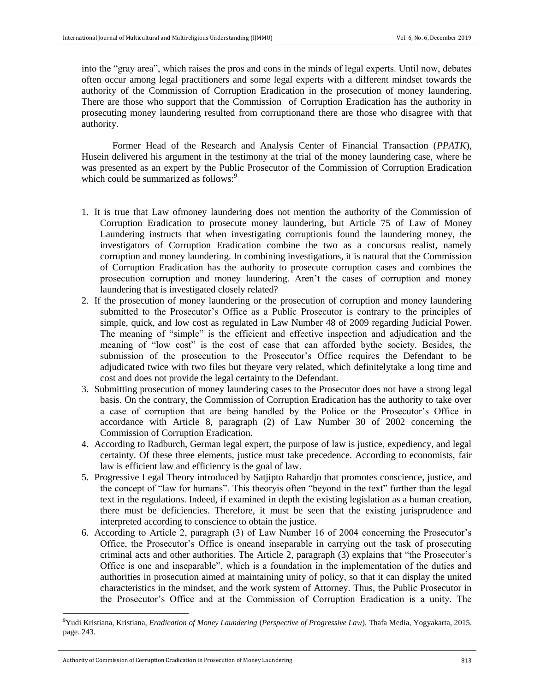into the "gray area", which raises the pros and cons in the minds of legal experts. Until now, debates often occur among legal practitioners and some legal experts with a different mindset towards the authority of the Commission of Corruption Eradication in the prosecution of money laundering. There are those who support that the Commission of Corruption Eradication has the authority in prosecuting money laundering resulted from corruptionand there are those who disagree with that authority.

Former Head of the Research and Analysis Center of Financial Transaction (*PPATK*), Husein delivered his argument in the testimony at the trial of the money laundering case, where he was presented as an expert by the Public Prosecutor of the Commission of Corruption Eradication which could be summarized as follows:<sup>9</sup>

- 1. It is true that Law ofmoney laundering does not mention the authority of the Commission of Corruption Eradication to prosecute money laundering, but Article 75 of Law of Money Laundering instructs that when investigating corruptionis found the laundering money, the investigators of Corruption Eradication combine the two as a concursus realist, namely corruption and money laundering. In combining investigations, it is natural that the Commission of Corruption Eradication has the authority to prosecute corruption cases and combines the prosecution corruption and money laundering. Aren't the cases of corruption and money laundering that is investigated closely related?
- 2. If the prosecution of money laundering or the prosecution of corruption and money laundering submitted to the Prosecutor's Office as a Public Prosecutor is contrary to the principles of simple, quick, and low cost as regulated in Law Number 48 of 2009 regarding Judicial Power. The meaning of "simple" is the efficient and effective inspection and adjudication and the meaning of "low cost" is the cost of case that can afforded bythe society. Besides, the submission of the prosecution to the Prosecutor's Office requires the Defendant to be adjudicated twice with two files but theyare very related, which definitelytake a long time and cost and does not provide the legal certainty to the Defendant.
- 3. Submitting prosecution of money laundering cases to the Prosecutor does not have a strong legal basis. On the contrary, the Commission of Corruption Eradication has the authority to take over a case of corruption that are being handled by the Police or the Prosecutor's Office in accordance with Article 8, paragraph (2) of Law Number 30 of 2002 concerning the Commission of Corruption Eradication.
- 4. According to Radburch, German legal expert, the purpose of law is justice, expediency, and legal certainty. Of these three elements, justice must take precedence. According to economists, fair law is efficient law and efficiency is the goal of law.
- 5. Progressive Legal Theory introduced by Satjipto Rahardjo that promotes conscience, justice, and the concept of "law for humans". This theoryis often "beyond in the text" further than the legal text in the regulations. Indeed, if examined in depth the existing legislation as a human creation, there must be deficiencies. Therefore, it must be seen that the existing jurisprudence and interpreted according to conscience to obtain the justice.
- 6. According to Article 2, paragraph (3) of Law Number 16 of 2004 concerning the Prosecutor's Office, the Prosecutor's Office is oneand inseparable in carrying out the task of prosecuting criminal acts and other authorities. The Article 2, paragraph (3) explains that "the Prosecutor's Office is one and inseparable", which is a foundation in the implementation of the duties and authorities in prosecution aimed at maintaining unity of policy, so that it can display the united characteristics in the mindset, and the work system of Attorney. Thus, the Public Prosecutor in the Prosecutor's Office and at the Commission of Corruption Eradication is a unity. The

 $\overline{a}$ 

<sup>9</sup>Yudi Kristiana, Kristiana, *Eradication of Money Laundering* (*Perspective of Progressive Law*), Thafa Media, Yogyakarta, 2015. page. 243.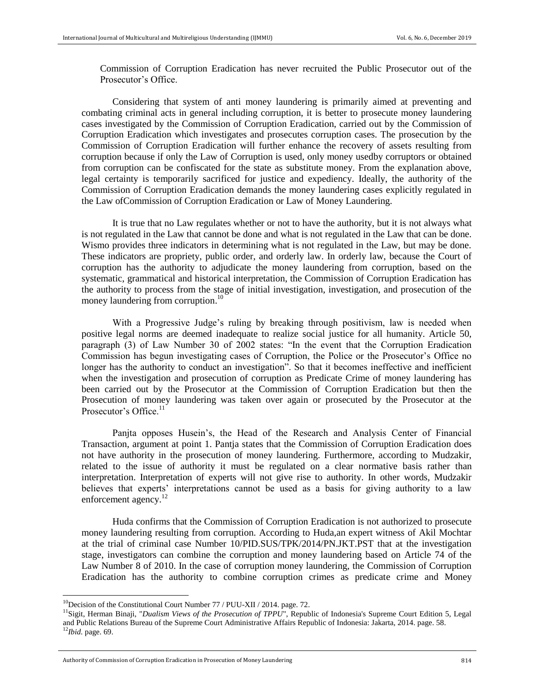Commission of Corruption Eradication has never recruited the Public Prosecutor out of the Prosecutor's Office.

Considering that system of anti money laundering is primarily aimed at preventing and combating criminal acts in general including corruption, it is better to prosecute money laundering cases investigated by the Commission of Corruption Eradication, carried out by the Commission of Corruption Eradication which investigates and prosecutes corruption cases. The prosecution by the Commission of Corruption Eradication will further enhance the recovery of assets resulting from corruption because if only the Law of Corruption is used, only money usedby corruptors or obtained from corruption can be confiscated for the state as substitute money. From the explanation above, legal certainty is temporarily sacrificed for justice and expediency. Ideally, the authority of the Commission of Corruption Eradication demands the money laundering cases explicitly regulated in the Law ofCommission of Corruption Eradication or Law of Money Laundering.

It is true that no Law regulates whether or not to have the authority, but it is not always what is not regulated in the Law that cannot be done and what is not regulated in the Law that can be done. Wismo provides three indicators in determining what is not regulated in the Law, but may be done. These indicators are propriety, public order, and orderly law. In orderly law, because the Court of corruption has the authority to adjudicate the money laundering from corruption, based on the systematic, grammatical and historical interpretation, the Commission of Corruption Eradication has the authority to process from the stage of initial investigation, investigation, and prosecution of the money laundering from corruption.<sup>10</sup>

With a Progressive Judge's ruling by breaking through positivism, law is needed when positive legal norms are deemed inadequate to realize social justice for all humanity. Article 50, paragraph (3) of Law Number 30 of 2002 states: "In the event that the Corruption Eradication Commission has begun investigating cases of Corruption, the Police or the Prosecutor's Office no longer has the authority to conduct an investigation". So that it becomes ineffective and inefficient when the investigation and prosecution of corruption as Predicate Crime of money laundering has been carried out by the Prosecutor at the Commission of Corruption Eradication but then the Prosecution of money laundering was taken over again or prosecuted by the Prosecutor at the Prosecutor's Office. $11$ 

Panjta opposes Husein's, the Head of the Research and Analysis Center of Financial Transaction, argument at point 1. Pantja states that the Commission of Corruption Eradication does not have authority in the prosecution of money laundering. Furthermore, according to Mudzakir, related to the issue of authority it must be regulated on a clear normative basis rather than interpretation. Interpretation of experts will not give rise to authority. In other words, Mudzakir believes that experts' interpretations cannot be used as a basis for giving authority to a law enforcement agency.<sup>12</sup>

Huda confirms that the Commission of Corruption Eradication is not authorized to prosecute money laundering resulting from corruption. According to Huda,an expert witness of Akil Mochtar at the trial of criminal case Number 10/PID.SUS/TPK/2014/PN.JKT.PST that at the investigation stage, investigators can combine the corruption and money laundering based on Article 74 of the Law Number 8 of 2010. In the case of corruption money laundering, the Commission of Corruption Eradication has the authority to combine corruption crimes as predicate crime and Money

 $\overline{\phantom{a}}$ 

<sup>&</sup>lt;sup>10</sup>Decision of the Constitutional Court Number  $77 / PUU-XII / 2014$ . page. 72.

<sup>&</sup>lt;sup>11</sup>Sigit, Herman Binaji, "*Dualism Views of the Prosecution of TPPU*", Republic of Indonesia's Supreme Court Edition 5, Legal and Public Relations Bureau of the Supreme Court Administrative Affairs Republic of Indonesia: Jakarta, 2014. page. 58. <sup>12</sup>*Ibid.* page. 69.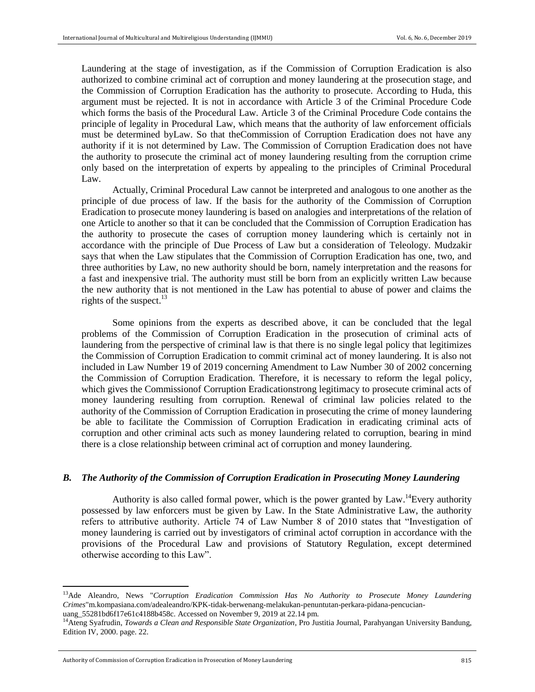Laundering at the stage of investigation, as if the Commission of Corruption Eradication is also authorized to combine criminal act of corruption and money laundering at the prosecution stage, and the Commission of Corruption Eradication has the authority to prosecute. According to Huda, this argument must be rejected. It is not in accordance with Article 3 of the Criminal Procedure Code which forms the basis of the Procedural Law. Article 3 of the Criminal Procedure Code contains the principle of legality in Procedural Law, which means that the authority of law enforcement officials must be determined byLaw. So that theCommission of Corruption Eradication does not have any authority if it is not determined by Law. The Commission of Corruption Eradication does not have the authority to prosecute the criminal act of money laundering resulting from the corruption crime only based on the interpretation of experts by appealing to the principles of Criminal Procedural Law.

Actually, Criminal Procedural Law cannot be interpreted and analogous to one another as the principle of due process of law. If the basis for the authority of the Commission of Corruption Eradication to prosecute money laundering is based on analogies and interpretations of the relation of one Article to another so that it can be concluded that the Commission of Corruption Eradication has the authority to prosecute the cases of corruption money laundering which is certainly not in accordance with the principle of Due Process of Law but a consideration of Teleology. Mudzakir says that when the Law stipulates that the Commission of Corruption Eradication has one, two, and three authorities by Law, no new authority should be born, namely interpretation and the reasons for a fast and inexpensive trial. The authority must still be born from an explicitly written Law because the new authority that is not mentioned in the Law has potential to abuse of power and claims the rights of the suspect.<sup>13</sup>

Some opinions from the experts as described above, it can be concluded that the legal problems of the Commission of Corruption Eradication in the prosecution of criminal acts of laundering from the perspective of criminal law is that there is no single legal policy that legitimizes the Commission of Corruption Eradication to commit criminal act of money laundering. It is also not included in Law Number 19 of 2019 concerning Amendment to Law Number 30 of 2002 concerning the Commission of Corruption Eradication. Therefore, it is necessary to reform the legal policy, which gives the Commissionof Corruption Eradicationstrong legitimacy to prosecute criminal acts of money laundering resulting from corruption. Renewal of criminal law policies related to the authority of the Commission of Corruption Eradication in prosecuting the crime of money laundering be able to facilitate the Commission of Corruption Eradication in eradicating criminal acts of corruption and other criminal acts such as money laundering related to corruption, bearing in mind there is a close relationship between criminal act of corruption and money laundering.

## *B. The Authority of the Commission of Corruption Eradication in Prosecuting Money Laundering*

Authority is also called formal power, which is the power granted by Law.<sup>14</sup>Every authority possessed by law enforcers must be given by Law. In the State Administrative Law, the authority refers to attributive authority. Article 74 of Law Number 8 of 2010 states that "Investigation of money laundering is carried out by investigators of criminal actof corruption in accordance with the provisions of the Procedural Law and provisions of Statutory Regulation, except determined otherwise according to this Law".

 $\overline{a}$ 

<sup>13</sup>Ade Aleandro, News "*Corruption Eradication Commission Has No Authority to Prosecute Money Laundering Crimes*"m.kompasiana.com/adealeandro/KPK-tidak-berwenang-melakukan-penuntutan-perkara-pidana-pencucianuang\_55281bd6f17e61c4188b458c. Accessed on November 9, 2019 at 22.14 pm.

<sup>14</sup>Ateng Syafrudin, *Towards a Clean and Responsible State Organization*, Pro Justitia Journal, Parahyangan University Bandung, Edition IV, 2000. page. 22.

Authority of Commission of Corruption Eradication in Prosecution of Money Laundering 815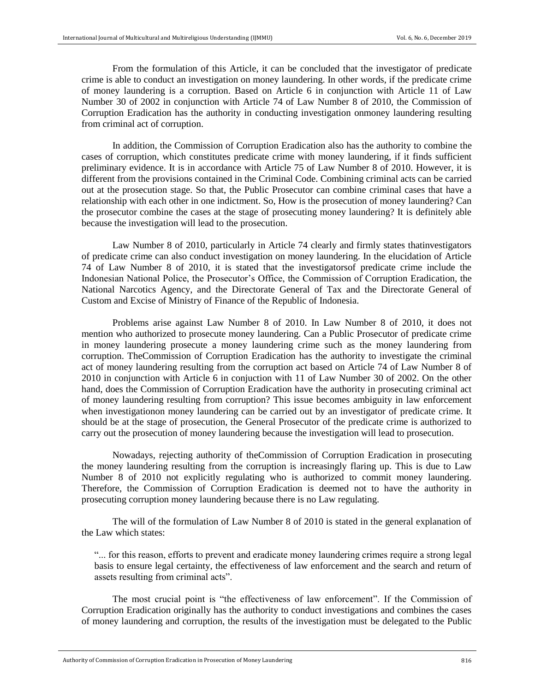From the formulation of this Article, it can be concluded that the investigator of predicate crime is able to conduct an investigation on money laundering. In other words, if the predicate crime of money laundering is a corruption. Based on Article 6 in conjunction with Article 11 of Law Number 30 of 2002 in conjunction with Article 74 of Law Number 8 of 2010, the Commission of Corruption Eradication has the authority in conducting investigation onmoney laundering resulting from criminal act of corruption.

In addition, the Commission of Corruption Eradication also has the authority to combine the cases of corruption, which constitutes predicate crime with money laundering, if it finds sufficient preliminary evidence. It is in accordance with Article 75 of Law Number 8 of 2010. However, it is different from the provisions contained in the Criminal Code. Combining criminal acts can be carried out at the prosecution stage. So that, the Public Prosecutor can combine criminal cases that have a relationship with each other in one indictment. So, How is the prosecution of money laundering? Can the prosecutor combine the cases at the stage of prosecuting money laundering? It is definitely able because the investigation will lead to the prosecution.

Law Number 8 of 2010, particularly in Article 74 clearly and firmly states thatinvestigators of predicate crime can also conduct investigation on money laundering. In the elucidation of Article 74 of Law Number 8 of 2010, it is stated that the investigatorsof predicate crime include the Indonesian National Police, the Prosecutor's Office, the Commission of Corruption Eradication, the National Narcotics Agency, and the Directorate General of Tax and the Directorate General of Custom and Excise of Ministry of Finance of the Republic of Indonesia.

Problems arise against Law Number 8 of 2010. In Law Number 8 of 2010, it does not mention who authorized to prosecute money laundering. Can a Public Prosecutor of predicate crime in money laundering prosecute a money laundering crime such as the money laundering from corruption. TheCommission of Corruption Eradication has the authority to investigate the criminal act of money laundering resulting from the corruption act based on Article 74 of Law Number 8 of 2010 in conjunction with Article 6 in conjuction with 11 of Law Number 30 of 2002. On the other hand, does the Commission of Corruption Eradication have the authority in prosecuting criminal act of money laundering resulting from corruption? This issue becomes ambiguity in law enforcement when investigationon money laundering can be carried out by an investigator of predicate crime. It should be at the stage of prosecution, the General Prosecutor of the predicate crime is authorized to carry out the prosecution of money laundering because the investigation will lead to prosecution.

Nowadays, rejecting authority of theCommission of Corruption Eradication in prosecuting the money laundering resulting from the corruption is increasingly flaring up. This is due to Law Number 8 of 2010 not explicitly regulating who is authorized to commit money laundering. Therefore, the Commission of Corruption Eradication is deemed not to have the authority in prosecuting corruption money laundering because there is no Law regulating.

The will of the formulation of Law Number 8 of 2010 is stated in the general explanation of the Law which states:

"... for this reason, efforts to prevent and eradicate money laundering crimes require a strong legal basis to ensure legal certainty, the effectiveness of law enforcement and the search and return of assets resulting from criminal acts".

The most crucial point is "the effectiveness of law enforcement". If the Commission of Corruption Eradication originally has the authority to conduct investigations and combines the cases of money laundering and corruption, the results of the investigation must be delegated to the Public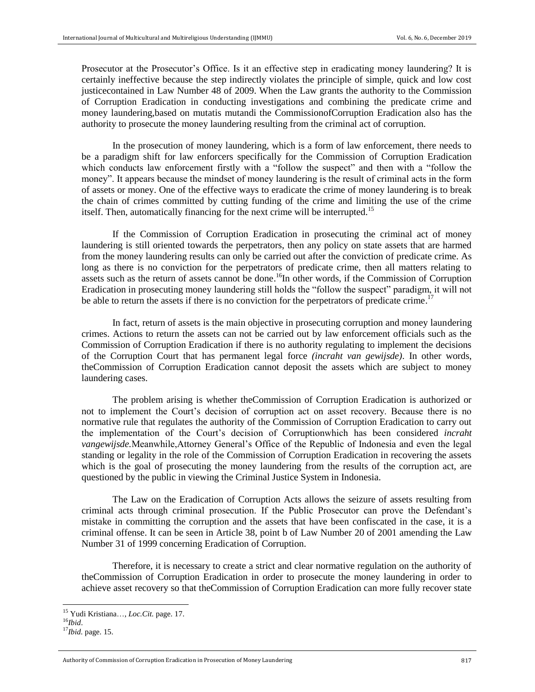Prosecutor at the Prosecutor's Office. Is it an effective step in eradicating money laundering? It is certainly ineffective because the step indirectly violates the principle of simple, quick and low cost justicecontained in Law Number 48 of 2009. When the Law grants the authority to the Commission of Corruption Eradication in conducting investigations and combining the predicate crime and money laundering,based on mutatis mutandi the CommissionofCorruption Eradication also has the authority to prosecute the money laundering resulting from the criminal act of corruption.

In the prosecution of money laundering, which is a form of law enforcement, there needs to be a paradigm shift for law enforcers specifically for the Commission of Corruption Eradication which conducts law enforcement firstly with a "follow the suspect" and then with a "follow the money". It appears because the mindset of money laundering is the result of criminal acts in the form of assets or money. One of the effective ways to eradicate the crime of money laundering is to break the chain of crimes committed by cutting funding of the crime and limiting the use of the crime itself. Then, automatically financing for the next crime will be interrupted.<sup>15</sup>

If the Commission of Corruption Eradication in prosecuting the criminal act of money laundering is still oriented towards the perpetrators, then any policy on state assets that are harmed from the money laundering results can only be carried out after the conviction of predicate crime. As long as there is no conviction for the perpetrators of predicate crime, then all matters relating to assets such as the return of assets cannot be done.<sup>16</sup>In other words, if the Commission of Corruption Eradication in prosecuting money laundering still holds the "follow the suspect" paradigm, it will not be able to return the assets if there is no conviction for the perpetrators of predicate crime.<sup>17</sup>

In fact, return of assets is the main objective in prosecuting corruption and money laundering crimes. Actions to return the assets can not be carried out by law enforcement officials such as the Commission of Corruption Eradication if there is no authority regulating to implement the decisions of the Corruption Court that has permanent legal force *(incraht van gewijsde)*. In other words, theCommission of Corruption Eradication cannot deposit the assets which are subject to money laundering cases.

The problem arising is whether theCommission of Corruption Eradication is authorized or not to implement the Court's decision of corruption act on asset recovery. Because there is no normative rule that regulates the authority of the Commission of Corruption Eradication to carry out the implementation of the Court's decision of Corruptionwhich has been considered *incraht vangewijsde.*Meanwhile,Attorney General's Office of the Republic of Indonesia and even the legal standing or legality in the role of the Commission of Corruption Eradication in recovering the assets which is the goal of prosecuting the money laundering from the results of the corruption act, are questioned by the public in viewing the Criminal Justice System in Indonesia.

The Law on the Eradication of Corruption Acts allows the seizure of assets resulting from criminal acts through criminal prosecution. If the Public Prosecutor can prove the Defendant's mistake in committing the corruption and the assets that have been confiscated in the case, it is a criminal offense. It can be seen in Article 38, point b of Law Number 20 of 2001 amending the Law Number 31 of 1999 concerning Eradication of Corruption.

Therefore, it is necessary to create a strict and clear normative regulation on the authority of theCommission of Corruption Eradication in order to prosecute the money laundering in order to achieve asset recovery so that theCommission of Corruption Eradication can more fully recover state

 $\overline{\phantom{a}}$ 

<sup>15</sup> Yudi Kristiana…, *Loc.Cit.* page. 17.

<sup>16</sup>*Ibid*.

<sup>17</sup>*Ibid.* page. 15.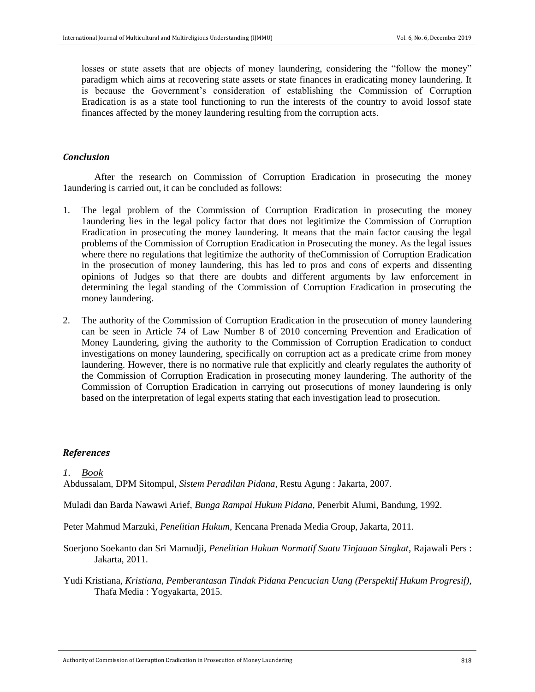losses or state assets that are objects of money laundering, considering the "follow the money" paradigm which aims at recovering state assets or state finances in eradicating money laundering. It is because the Government's consideration of establishing the Commission of Corruption Eradication is as a state tool functioning to run the interests of the country to avoid lossof state finances affected by the money laundering resulting from the corruption acts.

## *Conclusion*

After the research on Commission of Corruption Eradication in prosecuting the money 1aundering is carried out, it can be concluded as follows:

- 1. The legal problem of the Commission of Corruption Eradication in prosecuting the money 1aundering lies in the legal policy factor that does not legitimize the Commission of Corruption Eradication in prosecuting the money laundering. It means that the main factor causing the legal problems of the Commission of Corruption Eradication in Prosecuting the money. As the legal issues where there no regulations that legitimize the authority of theCommission of Corruption Eradication in the prosecution of money laundering, this has led to pros and cons of experts and dissenting opinions of Judges so that there are doubts and different arguments by law enforcement in determining the legal standing of the Commission of Corruption Eradication in prosecuting the money laundering.
- 2. The authority of the Commission of Corruption Eradication in the prosecution of money laundering can be seen in Article 74 of Law Number 8 of 2010 concerning Prevention and Eradication of Money Laundering, giving the authority to the Commission of Corruption Eradication to conduct investigations on money laundering, specifically on corruption act as a predicate crime from money laundering. However, there is no normative rule that explicitly and clearly regulates the authority of the Commission of Corruption Eradication in prosecuting money laundering. The authority of the Commission of Corruption Eradication in carrying out prosecutions of money laundering is only based on the interpretation of legal experts stating that each investigation lead to prosecution.

## *References*

## *1. Book*

Abdussalam, DPM Sitompul, *Sistem Peradilan Pidana,* Restu Agung : Jakarta, 2007.

Muladi dan Barda Nawawi Arief, *Bunga Rampai Hukum Pidana,* Penerbit Alumi, Bandung, 1992.

Peter Mahmud Marzuki, *Penelitian Hukum,* Kencana Prenada Media Group, Jakarta, 2011.

- Soerjono Soekanto dan Sri Mamudji, *Penelitian Hukum Normatif Suatu Tinjauan Singkat*, Rajawali Pers : Jakarta, 2011.
- Yudi Kristiana, *Kristiana, Pemberantasan Tindak Pidana Pencucian Uang (Perspektif Hukum Progresif),*  Thafa Media : Yogyakarta, 2015*.*